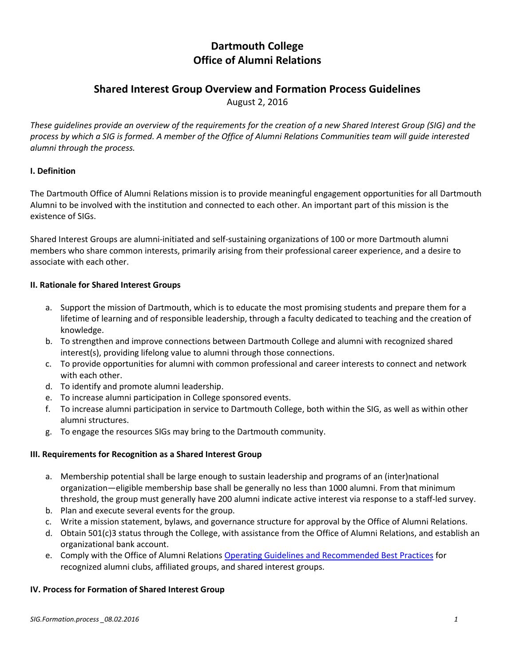# **Dartmouth College Office of Alumni Relations**

# **Shared Interest Group Overview and Formation Process Guidelines**

August 2, 2016

*These guidelines provide an overview of the requirements for the creation of a new Shared Interest Group (SIG) and the process by which a SIG is formed. A member of the Office of Alumni Relations Communities team will guide interested alumni through the process.*

# **I. Definition**

The Dartmouth Office of Alumni Relations mission is to provide meaningful engagement opportunities for all Dartmouth Alumni to be involved with the institution and connected to each other. An important part of this mission is the existence of SIGs.

Shared Interest Groups are alumni-initiated and self-sustaining organizations of 100 or more Dartmouth alumni members who share common interests, primarily arising from their professional career experience, and a desire to associate with each other.

# **II. Rationale for Shared Interest Groups**

- a. Support the mission of Dartmouth, which is to educate the most promising students and prepare them for a lifetime of learning and of responsible leadership, through a faculty dedicated to teaching and the creation of knowledge.
- b. To strengthen and improve connections between Dartmouth College and alumni with recognized shared interest(s), providing lifelong value to alumni through those connections.
- c. To provide opportunities for alumni with common professional and career interests to connect and network with each other.
- d. To identify and promote alumni leadership.
- e. To increase alumni participation in College sponsored events.
- f. To increase alumni participation in service to Dartmouth College, both within the SIG, as well as within other alumni structures.
- g. To engage the resources SIGs may bring to the Dartmouth community.

#### **III. Requirements for Recognition as a Shared Interest Group**

- a. Membership potential shall be large enough to sustain leadership and programs of an (inter)national organization—eligible membership base shall be generally no less than 1000 alumni. From that minimum threshold, the group must generally have 200 alumni indicate active interest via response to a staff-led survey.
- b. Plan and execute several events for the group.
- c. Write a mission statement, bylaws, and governance structure for approval by the Office of Alumni Relations.
- d. Obtain 501(c)3 status through the College, with assistance from the Office of Alumni Relations, and establish an organizational bank account.
- e. Comply with the Office of Alumni Relations [Operating Guidelines and Recommended Best Practices](http://alumni.dartmouth.edu/Communities/clubs/media/clubs/documents/operatingguidelines2017.pdf) for recognized alumni clubs, affiliated groups, and shared interest groups.

#### **IV. Process for Formation of Shared Interest Group**